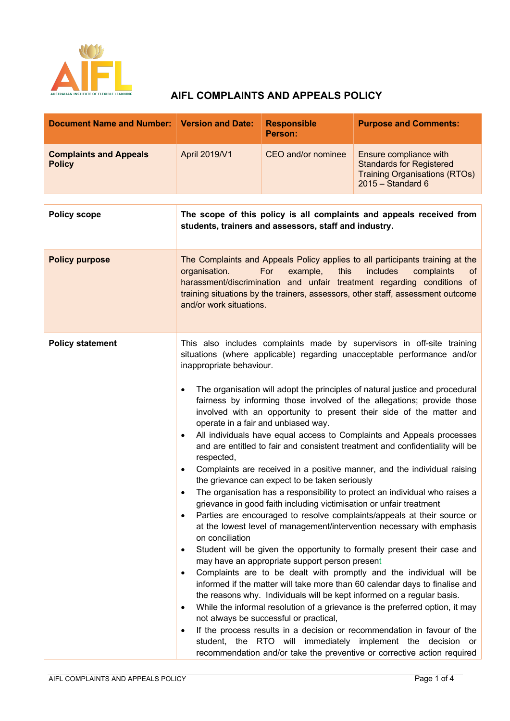

# **AIFL COMPLAINTS AND APPEALS POLICY**

| <b>Document Name and Number: Version and Date:</b> |                                                                                                                                                                                                                                                                                                                                                                                                                                                                                                                                                                                                                                                                                                                                                                                                                                                                                                                                                                                                                                                                                                                                                                                                                                                                                                                                                                                                                                                                                                                                                                                                                                                                                                                                                                                                                                                                                      | <b>Responsible</b><br>Person: | <b>Purpose and Comments:</b>                                                                                             |
|----------------------------------------------------|--------------------------------------------------------------------------------------------------------------------------------------------------------------------------------------------------------------------------------------------------------------------------------------------------------------------------------------------------------------------------------------------------------------------------------------------------------------------------------------------------------------------------------------------------------------------------------------------------------------------------------------------------------------------------------------------------------------------------------------------------------------------------------------------------------------------------------------------------------------------------------------------------------------------------------------------------------------------------------------------------------------------------------------------------------------------------------------------------------------------------------------------------------------------------------------------------------------------------------------------------------------------------------------------------------------------------------------------------------------------------------------------------------------------------------------------------------------------------------------------------------------------------------------------------------------------------------------------------------------------------------------------------------------------------------------------------------------------------------------------------------------------------------------------------------------------------------------------------------------------------------------|-------------------------------|--------------------------------------------------------------------------------------------------------------------------|
| <b>Complaints and Appeals</b><br><b>Policy</b>     | April 2019/V1                                                                                                                                                                                                                                                                                                                                                                                                                                                                                                                                                                                                                                                                                                                                                                                                                                                                                                                                                                                                                                                                                                                                                                                                                                                                                                                                                                                                                                                                                                                                                                                                                                                                                                                                                                                                                                                                        | CEO and/or nominee            | Ensure compliance with<br><b>Standards for Registered</b><br><b>Training Organisations (RTOs)</b><br>$2015 - Standard 6$ |
| <b>Policy scope</b>                                | The scope of this policy is all complaints and appeals received from<br>students, trainers and assessors, staff and industry.                                                                                                                                                                                                                                                                                                                                                                                                                                                                                                                                                                                                                                                                                                                                                                                                                                                                                                                                                                                                                                                                                                                                                                                                                                                                                                                                                                                                                                                                                                                                                                                                                                                                                                                                                        |                               |                                                                                                                          |
| <b>Policy purpose</b>                              | The Complaints and Appeals Policy applies to all participants training at the<br>For<br>example,<br>this<br>includes<br>complaints<br>organisation.<br><b>of</b><br>harassment/discrimination and unfair treatment regarding conditions of<br>training situations by the trainers, assessors, other staff, assessment outcome<br>and/or work situations.                                                                                                                                                                                                                                                                                                                                                                                                                                                                                                                                                                                                                                                                                                                                                                                                                                                                                                                                                                                                                                                                                                                                                                                                                                                                                                                                                                                                                                                                                                                             |                               |                                                                                                                          |
| <b>Policy statement</b>                            | This also includes complaints made by supervisors in off-site training<br>situations (where applicable) regarding unacceptable performance and/or<br>inappropriate behaviour.<br>The organisation will adopt the principles of natural justice and procedural<br>$\bullet$<br>fairness by informing those involved of the allegations; provide those<br>involved with an opportunity to present their side of the matter and<br>operate in a fair and unbiased way.<br>All individuals have equal access to Complaints and Appeals processes<br>$\bullet$<br>and are entitled to fair and consistent treatment and confidentiality will be<br>respected,<br>Complaints are received in a positive manner, and the individual raising<br>٠<br>the grievance can expect to be taken seriously<br>The organisation has a responsibility to protect an individual who raises a<br>$\bullet$<br>grievance in good faith including victimisation or unfair treatment<br>Parties are encouraged to resolve complaints/appeals at their source or<br>٠<br>at the lowest level of management/intervention necessary with emphasis<br>on conciliation<br>Student will be given the opportunity to formally present their case and<br>٠<br>may have an appropriate support person present<br>Complaints are to be dealt with promptly and the individual will be<br>٠<br>informed if the matter will take more than 60 calendar days to finalise and<br>the reasons why. Individuals will be kept informed on a regular basis.<br>While the informal resolution of a grievance is the preferred option, it may<br>٠<br>not always be successful or practical,<br>If the process results in a decision or recommendation in favour of the<br>$\bullet$<br>student, the RTO will immediately implement the decision or<br>recommendation and/or take the preventive or corrective action required |                               |                                                                                                                          |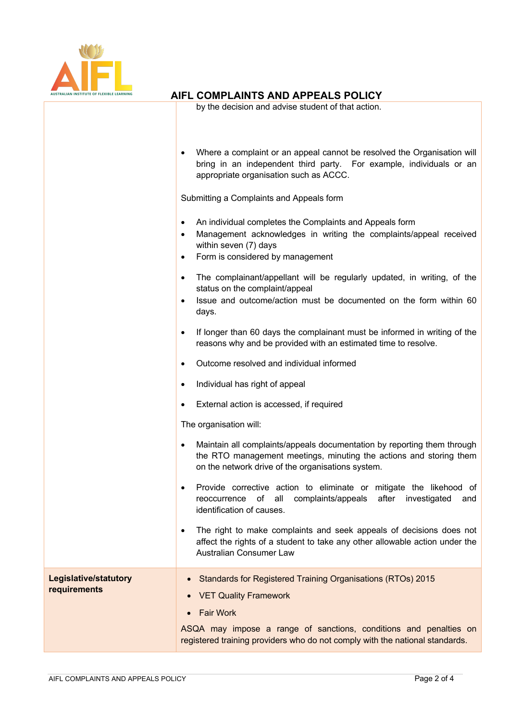

## **AIFL COMPLAINTS AND APPEALS POLICY**

by the decision and advise student of that action.

|                                              | Where a complaint or an appeal cannot be resolved the Organisation will<br>bring in an independent third party. For example, individuals or an<br>appropriate organisation such as ACCC.                                 |  |  |  |
|----------------------------------------------|--------------------------------------------------------------------------------------------------------------------------------------------------------------------------------------------------------------------------|--|--|--|
|                                              | Submitting a Complaints and Appeals form                                                                                                                                                                                 |  |  |  |
|                                              | An individual completes the Complaints and Appeals form<br>٠<br>Management acknowledges in writing the complaints/appeal received<br>$\bullet$<br>within seven (7) days<br>Form is considered by management<br>$\bullet$ |  |  |  |
|                                              | The complainant/appellant will be regularly updated, in writing, of the<br>$\bullet$<br>status on the complaint/appeal<br>Issue and outcome/action must be documented on the form within 60<br>$\bullet$<br>days.        |  |  |  |
|                                              | If longer than 60 days the complainant must be informed in writing of the<br>$\bullet$<br>reasons why and be provided with an estimated time to resolve.                                                                 |  |  |  |
|                                              | Outcome resolved and individual informed<br>$\bullet$                                                                                                                                                                    |  |  |  |
|                                              | Individual has right of appeal<br>$\bullet$                                                                                                                                                                              |  |  |  |
|                                              | External action is accessed, if required<br>$\bullet$                                                                                                                                                                    |  |  |  |
|                                              | The organisation will:                                                                                                                                                                                                   |  |  |  |
|                                              | Maintain all complaints/appeals documentation by reporting them through<br>٠<br>the RTO management meetings, minuting the actions and storing them<br>on the network drive of the organisations system.                  |  |  |  |
|                                              | Provide corrective action to eliminate or mitigate the likehood of<br>٠<br>reoccurrence of all complaints/appeals after investigated<br>and<br>identification of causes.                                                 |  |  |  |
|                                              | The right to make complaints and seek appeals of decisions does not<br>$\bullet$<br>affect the rights of a student to take any other allowable action under the<br>Australian Consumer Law                               |  |  |  |
| <b>Legislative/statutory</b><br>requirements | <b>Standards for Registered Training Organisations (RTOs) 2015</b><br><b>VET Quality Framework</b><br>$\bullet$<br><b>Fair Work</b><br>ASQA may impose a range of sanctions, conditions and penalties on                 |  |  |  |
|                                              | registered training providers who do not comply with the national standards.                                                                                                                                             |  |  |  |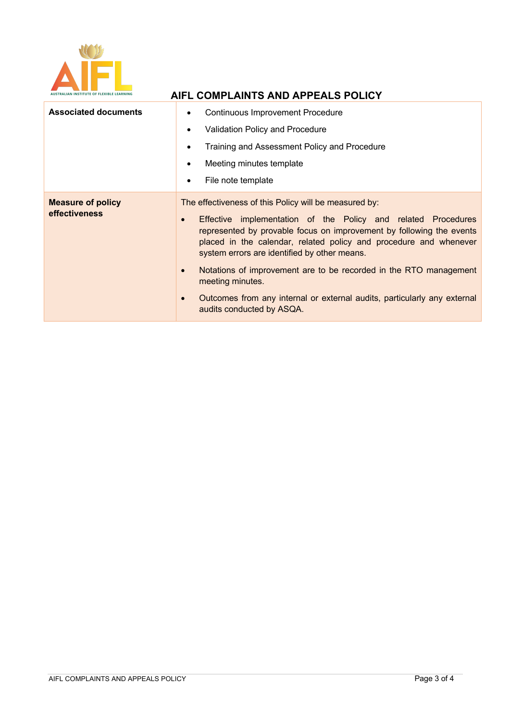

| <b>Associated documents</b>               | <b>Continuous Improvement Procedure</b><br>$\bullet$<br>Validation Policy and Procedure<br>٠<br>Training and Assessment Policy and Procedure<br>$\bullet$<br>Meeting minutes template<br>٠<br>File note template<br>٠                                                                                                                                                                                                                                                                                                                                        |  |
|-------------------------------------------|--------------------------------------------------------------------------------------------------------------------------------------------------------------------------------------------------------------------------------------------------------------------------------------------------------------------------------------------------------------------------------------------------------------------------------------------------------------------------------------------------------------------------------------------------------------|--|
| <b>Measure of policy</b><br>effectiveness | The effectiveness of this Policy will be measured by:<br>Effective implementation of the Policy and related Procedures<br>$\bullet$<br>represented by provable focus on improvement by following the events<br>placed in the calendar, related policy and procedure and whenever<br>system errors are identified by other means.<br>Notations of improvement are to be recorded in the RTO management<br>$\bullet$<br>meeting minutes.<br>Outcomes from any internal or external audits, particularly any external<br>$\bullet$<br>audits conducted by ASQA. |  |